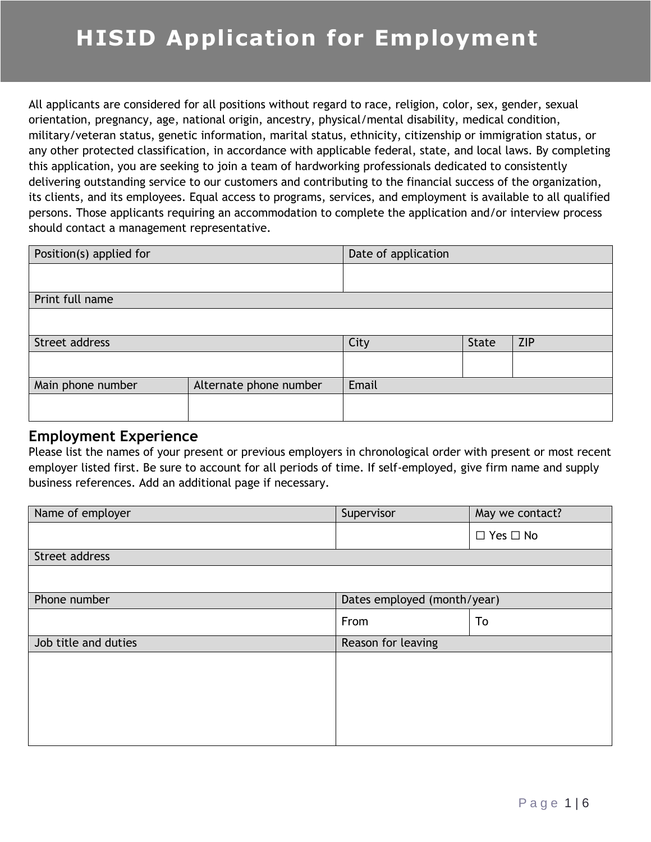All applicants are considered for all positions without regard to race, religion, color, sex, gender, sexual orientation, pregnancy, age, national origin, ancestry, physical/mental disability, medical condition, military/veteran status, genetic information, marital status, ethnicity, citizenship or immigration status, or any other protected classification, in accordance with applicable federal, state, and local laws. By completing this application, you are seeking to join a team of hardworking professionals dedicated to consistently delivering outstanding service to our customers and contributing to the financial success of the organization, its clients, and its employees. Equal access to programs, services, and employment is available to all qualified persons. Those applicants requiring an accommodation to complete the application and/or interview process should contact a management representative.

| Position(s) applied for |                        | Date of application |              |            |
|-------------------------|------------------------|---------------------|--------------|------------|
|                         |                        |                     |              |            |
| Print full name         |                        |                     |              |            |
|                         |                        |                     |              |            |
| Street address          |                        | City                | <b>State</b> | <b>ZIP</b> |
|                         |                        |                     |              |            |
| Main phone number       | Alternate phone number | Email               |              |            |
|                         |                        |                     |              |            |

#### **Employment Experience**

Please list the names of your present or previous employers in chronological order with present or most recent employer listed first. Be sure to account for all periods of time. If self-employed, give firm name and supply business references. Add an additional page if necessary.

| Name of employer     | Supervisor                  | May we contact?      |
|----------------------|-----------------------------|----------------------|
|                      |                             | $\Box$ Yes $\Box$ No |
| Street address       |                             |                      |
|                      |                             |                      |
| Phone number         | Dates employed (month/year) |                      |
|                      | From                        | To                   |
| Job title and duties | Reason for leaving          |                      |
|                      |                             |                      |
|                      |                             |                      |
|                      |                             |                      |
|                      |                             |                      |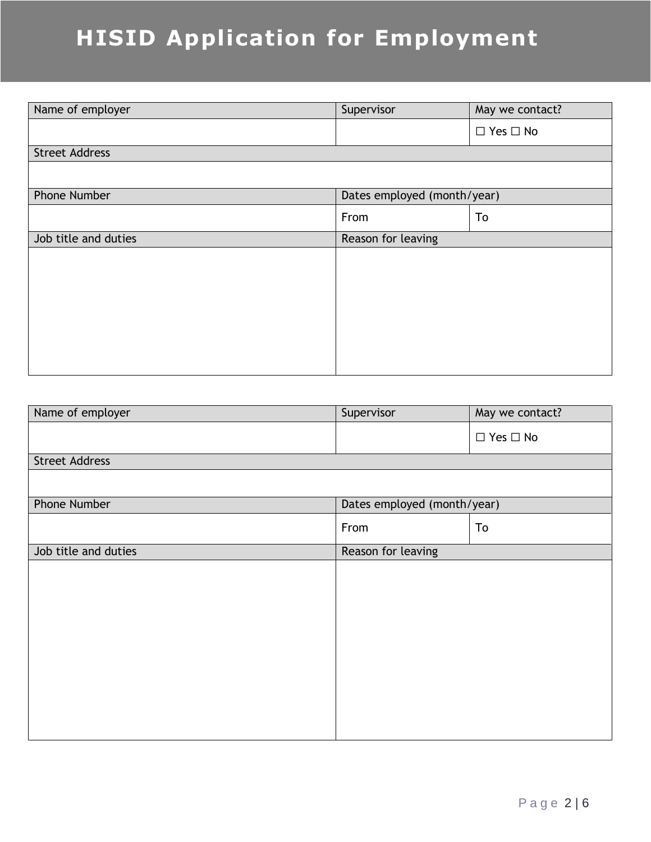# **HISID Application for Employment**

| Name of employer      | Supervisor                  | May we contact?      |  |
|-----------------------|-----------------------------|----------------------|--|
|                       |                             | $\Box$ Yes $\Box$ No |  |
| <b>Street Address</b> |                             |                      |  |
|                       |                             |                      |  |
| Phone Number          | Dates employed (month/year) |                      |  |
|                       | From                        | To                   |  |
| Job title and duties  | Reason for leaving          |                      |  |
|                       |                             |                      |  |
|                       |                             |                      |  |
|                       |                             |                      |  |
|                       |                             |                      |  |
|                       |                             |                      |  |
|                       |                             |                      |  |
|                       |                             |                      |  |

| Name of employer      | Supervisor                  | May we contact?      |
|-----------------------|-----------------------------|----------------------|
|                       |                             | $\Box$ Yes $\Box$ No |
| <b>Street Address</b> |                             |                      |
|                       |                             |                      |
| Phone Number          | Dates employed (month/year) |                      |
|                       | From                        | To                   |
| Job title and duties  | Reason for leaving          |                      |
|                       |                             |                      |
|                       |                             |                      |
|                       |                             |                      |
|                       |                             |                      |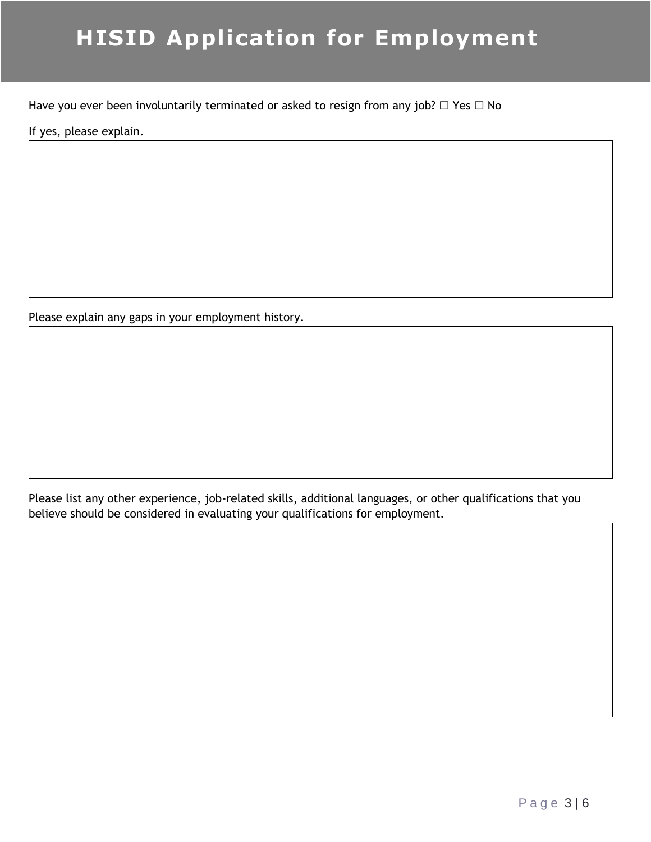# **HISID Application for Employment**

Have you ever been involuntarily terminated or asked to resign from any job?  $\Box$  Yes  $\Box$  No

If yes, please explain.

Please explain any gaps in your employment history.

Please list any other experience, job-related skills, additional languages, or other qualifications that you believe should be considered in evaluating your qualifications for employment.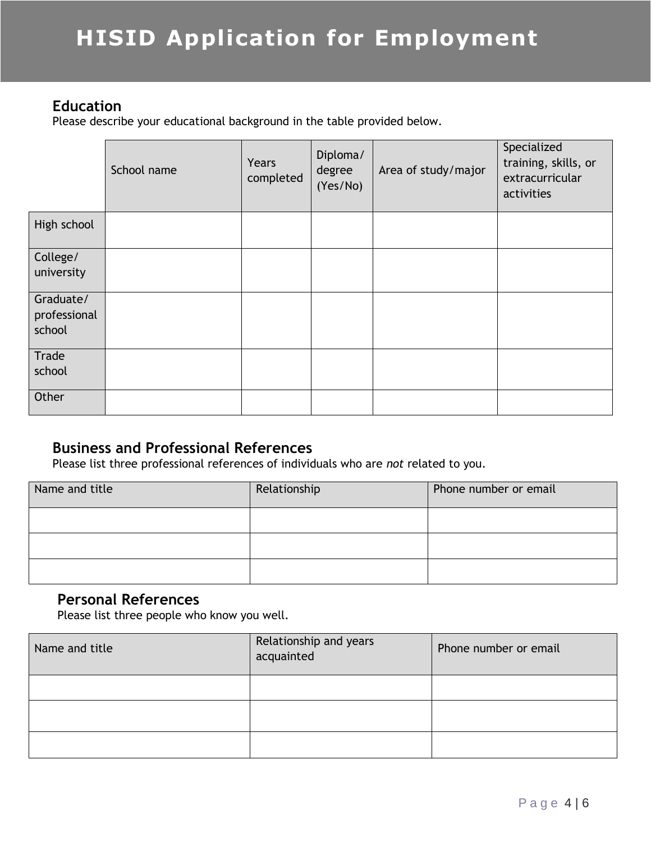#### **Education**

Please describe your educational background in the table provided below.

|                                     | School name | Years<br>completed | Diploma/<br>degree<br>(Yes/No) | Area of study/major | Specialized<br>training, skills, or<br>extracurricular<br>activities |
|-------------------------------------|-------------|--------------------|--------------------------------|---------------------|----------------------------------------------------------------------|
| High school                         |             |                    |                                |                     |                                                                      |
| College/<br>university              |             |                    |                                |                     |                                                                      |
| Graduate/<br>professional<br>school |             |                    |                                |                     |                                                                      |
| Trade<br>school                     |             |                    |                                |                     |                                                                      |
| Other                               |             |                    |                                |                     |                                                                      |

### **Business and Professional References**

Please list three professional references of individuals who are *not* related to you.

| Name and title | Relationship | Phone number or email |
|----------------|--------------|-----------------------|
|                |              |                       |
|                |              |                       |
|                |              |                       |

### **Personal References**

Please list three people who know you well.

| Name and title | Relationship and years<br>acquainted | Phone number or email |
|----------------|--------------------------------------|-----------------------|
|                |                                      |                       |
|                |                                      |                       |
|                |                                      |                       |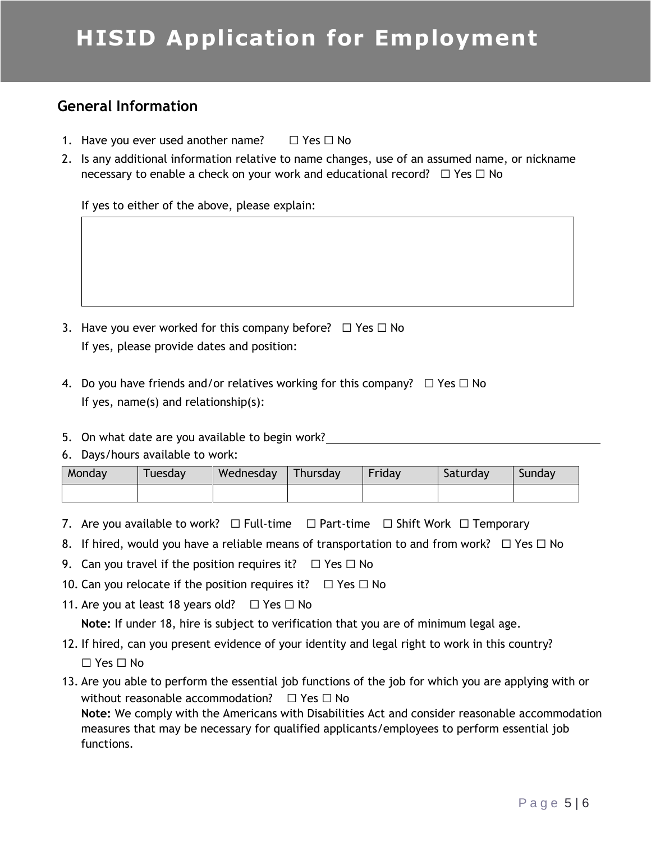## **HISID Application for Employment**

### **General Information**

- 1. Have you ever used another name?  $□$  Yes  $□$  No
- 2. Is any additional information relative to name changes, use of an assumed name, or nickname necessary to enable a check on your work and educational record?  $\Box$  Yes  $\Box$  No

If yes to either of the above, please explain:

- 3. Have you ever worked for this company before?  $\Box$  Yes  $\Box$  No If yes, please provide dates and position:
- 4. Do you have friends and/or relatives working for this company?  $\Box$  Yes  $\Box$  No If yes, name(s) and relationship(s):
- 5. On what date are you available to begin work?

#### 6. Days/hours available to work:

| Monday | <i>i</i> uesday | Wednesday | Thursday | Friday | Saturday | Sundav |
|--------|-----------------|-----------|----------|--------|----------|--------|
|        |                 |           |          |        |          |        |

- 7. Are you available to work?  $\Box$  Full-time  $\Box$  Part-time  $\Box$  Shift Work  $\Box$  Temporary
- 8. If hired, would you have a reliable means of transportation to and from work?  $\Box$  Yes  $\Box$  No
- 9. Can you travel if the position requires it?  $\Box$  Yes  $\Box$  No
- 10. Can you relocate if the position requires it?  $□$  Yes  $□$  No
- 11. Are you at least 18 years old?  $□$  Yes  $□$  No

**Note:** If under 18, hire is subject to verification that you are of minimum legal age.

- 12. If hired, can you present evidence of your identity and legal right to work in this country? ☐ Yes ☐ No
- 13. Are you able to perform the essential job functions of the job for which you are applying with or without reasonable accommodation?  $□$  Yes  $□$  No **Note:** We comply with the Americans with Disabilities Act and consider reasonable accommodation measures that may be necessary for qualified applicants/employees to perform essential job

functions.